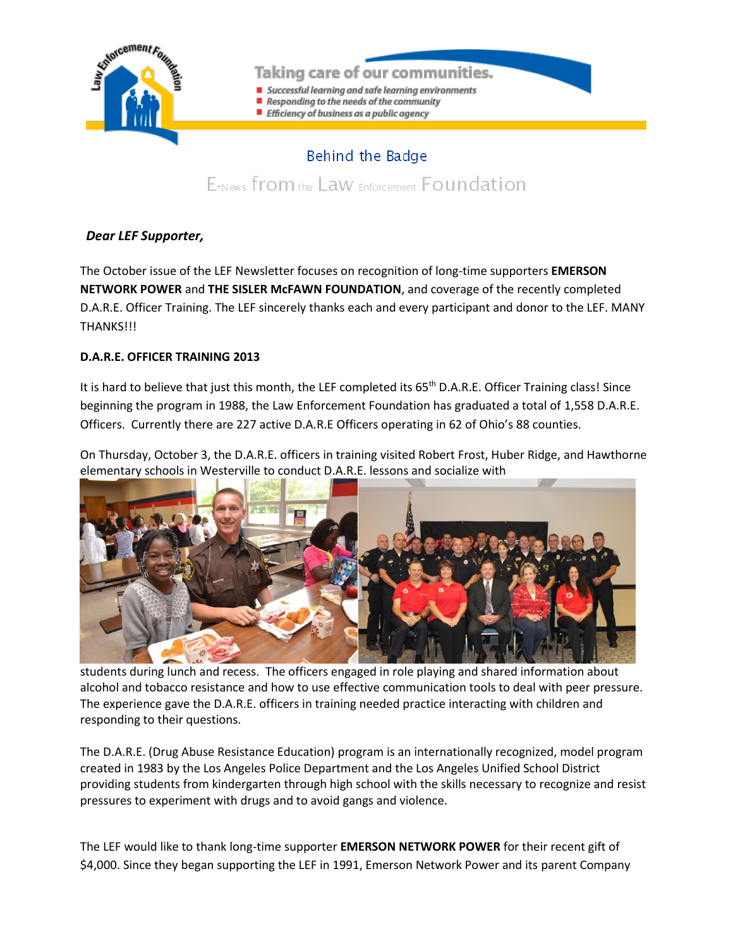

## Taking care of our communities.

- Successful learning and safe learning environments
- Responding to the needs of the community
- Efficiency of business as a public agency

## Behind the Badge

E-News from the Law Enforcement Foundation

## *Dear LEF Supporter,*

The October issue of the LEF Newsletter focuses on recognition of long-time supporters **EMERSON NETWORK POWER** and **THE SISLER McFAWN FOUNDATION**, and coverage of the recently completed D.A.R.E. Officer Training. The LEF sincerely thanks each and every participant and donor to the LEF. MANY **THANKS!!!** 

## **D.A.R.E. OFFICER TRAINING 2013**

It is hard to believe that just this month, the LEF completed its 65<sup>th</sup> D.A.R.E. Officer Training class! Since beginning the program in 1988, the Law Enforcement Foundation has graduated a total of 1,558 D.A.R.E. Officers. Currently there are 227 active D.A.R.E Officers operating in 62 of Ohio's 88 counties.

On Thursday, October 3, the D.A.R.E. officers in training visited Robert Frost, Huber Ridge, and Hawthorne elementary schools in Westerville to conduct D.A.R.E. lessons and socialize with



students during lunch and recess. The officers engaged in role playing and shared information about alcohol and tobacco resistance and how to use effective communication tools to deal with peer pressure. The experience gave the D.A.R.E. officers in training needed practice interacting with children and responding to their questions.

The D.A.R.E. (Drug Abuse Resistance Education) program is an internationally recognized, model program created in 1983 by the Los Angeles Police Department and the Los Angeles Unified School District providing students from kindergarten through high school with the skills necessary to recognize and resist pressures to experiment with drugs and to avoid gangs and violence.

The LEF would like to thank long-time supporter **EMERSON NETWORK POWER** for their recent gift of \$4,000. Since they began supporting the LEF in 1991, Emerson Network Power and its parent Company